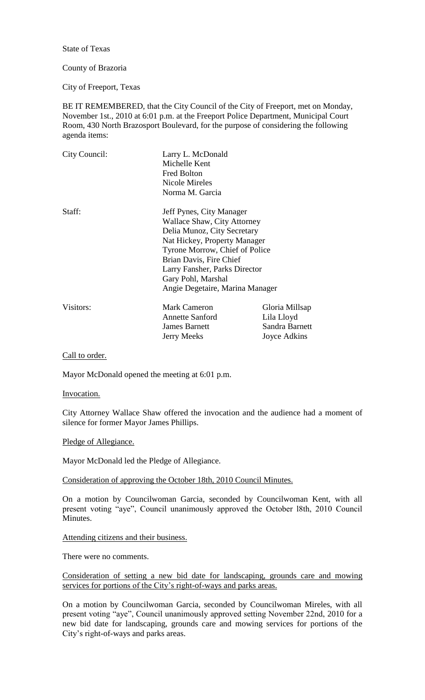State of Texas

## County of Brazoria

City of Freeport, Texas

BE IT REMEMBERED, that the City Council of the City of Freeport, met on Monday, November 1st., 2010 at 6:01 p.m. at the Freeport Police Department, Municipal Court Room, 430 North Brazosport Boulevard, for the purpose of considering the following agenda items:

| City Council: | Larry L. McDonald<br>Michelle Kent<br><b>Fred Bolton</b><br>Nicole Mireles<br>Norma M. Garcia |                |
|---------------|-----------------------------------------------------------------------------------------------|----------------|
|               |                                                                                               |                |
|               |                                                                                               |                |
| Staff:        | Jeff Pynes, City Manager                                                                      |                |
|               | Wallace Shaw, City Attorney                                                                   |                |
|               | Delia Munoz, City Secretary                                                                   |                |
|               | Nat Hickey, Property Manager                                                                  |                |
|               | Tyrone Morrow, Chief of Police                                                                |                |
|               | Brian Davis, Fire Chief                                                                       |                |
|               | Larry Fansher, Parks Director                                                                 |                |
|               | Gary Pohl, Marshal                                                                            |                |
|               | Angie Degetaire, Marina Manager                                                               |                |
| Visitors:     | <b>Mark Cameron</b>                                                                           | Gloria Millsap |
|               | <b>Annette Sanford</b>                                                                        | Lila Lloyd     |
|               | <b>James Barnett</b>                                                                          | Sandra Barnett |
|               | <b>Jerry Meeks</b>                                                                            | Joyce Adkins   |

Call to order.

Mayor McDonald opened the meeting at 6:01 p.m.

Invocation.

City Attorney Wallace Shaw offered the invocation and the audience had a moment of silence for former Mayor James Phillips.

Pledge of Allegiance.

Mayor McDonald led the Pledge of Allegiance.

Consideration of approving the October 18th, 2010 Council Minutes.

On a motion by Councilwoman Garcia, seconded by Councilwoman Kent, with all present voting "aye", Council unanimously approved the October l8th, 2010 Council Minutes.

Attending citizens and their business.

There were no comments.

Consideration of setting a new bid date for landscaping, grounds care and mowing services for portions of the City's right-of-ways and parks areas.

On a motion by Councilwoman Garcia, seconded by Councilwoman Mireles, with all present voting "aye", Council unanimously approved setting November 22nd, 2010 for a new bid date for landscaping, grounds care and mowing services for portions of the City's right-of-ways and parks areas.